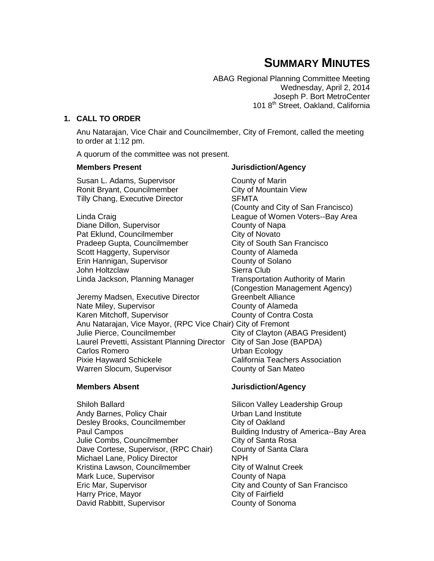# **SUMMARY MINUTES**

ABAG Regional Planning Committee Meeting Wednesday, April 2, 2014 Joseph P. Bort MetroCenter 101 8<sup>th</sup> Street, Oakland, California

#### **1. CALL TO ORDER**

Anu Natarajan, Vice Chair and Councilmember, City of Fremont, called the meeting to order at 1:12 pm.

A quorum of the committee was not present.

Susan L. Adams, Supervisor County of Marin Ronit Bryant, Councilmember City of Mountain View Tilly Chang, Executive Director SFMTA

Diane Dillon, Supervisor County of Napa Pat Eklund, Councilmember City of Novato Pradeep Gupta, Councilmember City of South San Francisco Scott Haggerty, Supervisor **County of Alameda** Erin Hannigan, Supervisor County of Solano John Holtzclaw Sierra Club

Jeremy Madsen, Executive Director Greenbelt Alliance Nate Miley, Supervisor **County of Alameda** Karen Mitchoff, Supervisor **County of Contra Costa** Anu Natarajan, Vice Mayor, (RPC Vice Chair) City of Fremont Julie Pierce, Councilmember City of Clayton (ABAG President) Laurel Prevetti, Assistant Planning Director City of San Jose (BAPDA) Carlos Romero **Carlos** Urban Ecology Pixie Hayward Schickele **California Teachers Association** Warren Slocum, Supervisor **County of San Mateo** 

Shiloh Ballard Shiloh Ballard Shiloh Ballard Shiloh Ballard Shiloh Ballard Shiloh Shiloh Shiloh Shiloh Shiloh S Andy Barnes, Policy Chair **National Example 1** Urban Land Institute Desley Brooks, Councilmember City of Oakland Paul Campos Building Industry of America--Bay Area Julie Combs, Councilmember City of Santa Rosa Dave Cortese, Supervisor, (RPC Chair) County of Santa Clara Michael Lane, Policy Director **NPH** Kristina Lawson, Councilmember City of Walnut Creek Mark Luce, Supervisor **County of Napa** Eric Mar, Supervisor City and County of San Francisco Harry Price, Mayor City of Fairfield David Rabbitt, Supervisor County of Sonoma

#### **Members Present Jurisdiction/Agency**

(County and City of San Francisco) Linda Craig League of Women Voters--Bay Area Linda Jackson, Planning Manager Transportation Authority of Marin (Congestion Management Agency)

#### **Members Absent Jurisdiction/Agency**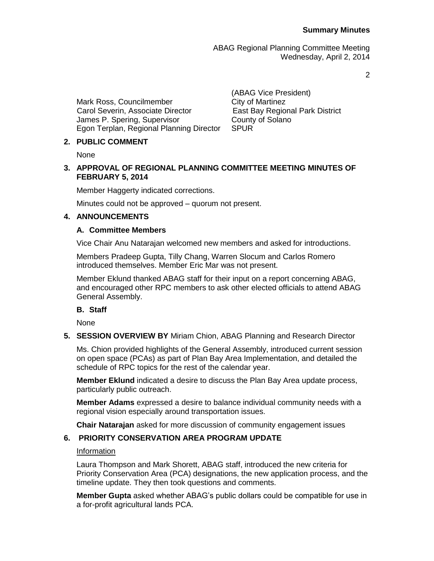2

Mark Ross, Councilmember City of Martinez Carol Severin, Associate Director East Bay Regional Park District James P. Spering, Supervisor<br>Egon Terplan, Regional Planning Director SPUR Egon Terplan, Regional Planning Director

(ABAG Vice President)

# **2. PUBLIC COMMENT**

None

### **3. APPROVAL OF REGIONAL PLANNING COMMITTEE MEETING MINUTES OF FEBRUARY 5, 2014**

Member Haggerty indicated corrections.

Minutes could not be approved – quorum not present.

#### **4. ANNOUNCEMENTS**

#### **A. Committee Members**

Vice Chair Anu Natarajan welcomed new members and asked for introductions.

Members Pradeep Gupta, Tilly Chang, Warren Slocum and Carlos Romero introduced themselves. Member Eric Mar was not present.

Member Eklund thanked ABAG staff for their input on a report concerning ABAG, and encouraged other RPC members to ask other elected officials to attend ABAG General Assembly.

### **B. Staff**

None

**5. SESSION OVERVIEW BY** Miriam Chion, ABAG Planning and Research Director

Ms. Chion provided highlights of the General Assembly, introduced current session on open space (PCAs) as part of Plan Bay Area Implementation, and detailed the schedule of RPC topics for the rest of the calendar year.

**Member Eklund** indicated a desire to discuss the Plan Bay Area update process, particularly public outreach.

**Member Adams** expressed a desire to balance individual community needs with a regional vision especially around transportation issues.

**Chair Natarajan** asked for more discussion of community engagement issues

### **6. PRIORITY CONSERVATION AREA PROGRAM UPDATE**

### Information

Laura Thompson and Mark Shorett, ABAG staff, introduced the new criteria for Priority Conservation Area (PCA) designations, the new application process, and the timeline update. They then took questions and comments.

**Member Gupta** asked whether ABAG's public dollars could be compatible for use in a for-profit agricultural lands PCA.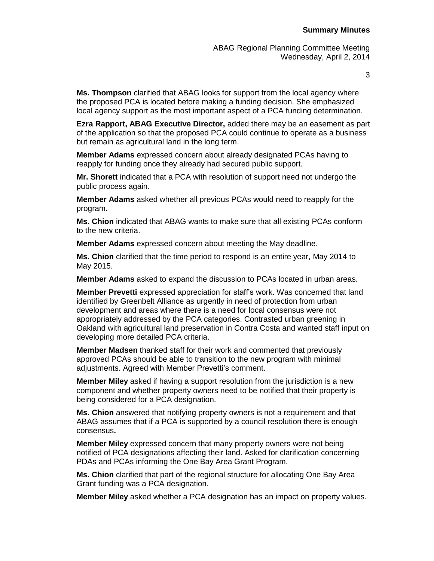3

**Ms. Thompson** clarified that ABAG looks for support from the local agency where the proposed PCA is located before making a funding decision. She emphasized local agency support as the most important aspect of a PCA funding determination.

**Ezra Rapport, ABAG Executive Director,** added there may be an easement as part of the application so that the proposed PCA could continue to operate as a business but remain as agricultural land in the long term.

**Member Adams** expressed concern about already designated PCAs having to reapply for funding once they already had secured public support.

**Mr. Shorett** indicated that a PCA with resolution of support need not undergo the public process again.

**Member Adams** asked whether all previous PCAs would need to reapply for the program.

**Ms. Chion** indicated that ABAG wants to make sure that all existing PCAs conform to the new criteria.

**Member Adams** expressed concern about meeting the May deadline.

**Ms. Chion** clarified that the time period to respond is an entire year, May 2014 to May 2015.

**Member Adams** asked to expand the discussion to PCAs located in urban areas.

**Member Prevetti** expressed appreciation for staff's work. Was concerned that land identified by Greenbelt Alliance as urgently in need of protection from urban development and areas where there is a need for local consensus were not appropriately addressed by the PCA categories. Contrasted urban greening in Oakland with agricultural land preservation in Contra Costa and wanted staff input on developing more detailed PCA criteria.

**Member Madsen** thanked staff for their work and commented that previously approved PCAs should be able to transition to the new program with minimal adjustments. Agreed with Member Prevetti's comment.

**Member Miley** asked if having a support resolution from the jurisdiction is a new component and whether property owners need to be notified that their property is being considered for a PCA designation.

**Ms. Chion** answered that notifying property owners is not a requirement and that ABAG assumes that if a PCA is supported by a council resolution there is enough consensus**.**

**Member Miley** expressed concern that many property owners were not being notified of PCA designations affecting their land. Asked for clarification concerning PDAs and PCAs informing the One Bay Area Grant Program.

**Ms. Chion** clarified that part of the regional structure for allocating One Bay Area Grant funding was a PCA designation.

**Member Miley** asked whether a PCA designation has an impact on property values.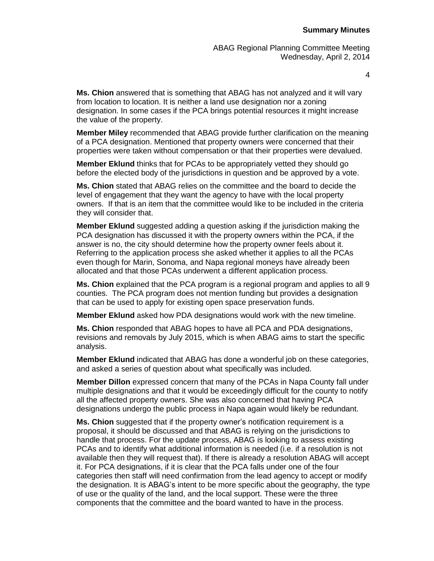4

**Ms. Chion** answered that is something that ABAG has not analyzed and it will vary from location to location. It is neither a land use designation nor a zoning designation. In some cases if the PCA brings potential resources it might increase the value of the property.

**Member Miley** recommended that ABAG provide further clarification on the meaning of a PCA designation. Mentioned that property owners were concerned that their properties were taken without compensation or that their properties were devalued.

**Member Eklund** thinks that for PCAs to be appropriately vetted they should go before the elected body of the jurisdictions in question and be approved by a vote.

**Ms. Chion** stated that ABAG relies on the committee and the board to decide the level of engagement that they want the agency to have with the local property owners. If that is an item that the committee would like to be included in the criteria they will consider that.

**Member Eklund** suggested adding a question asking if the jurisdiction making the PCA designation has discussed it with the property owners within the PCA, if the answer is no, the city should determine how the property owner feels about it. Referring to the application process she asked whether it applies to all the PCAs even though for Marin, Sonoma, and Napa regional moneys have already been allocated and that those PCAs underwent a different application process.

**Ms. Chion** explained that the PCA program is a regional program and applies to all 9 counties. The PCA program does not mention funding but provides a designation that can be used to apply for existing open space preservation funds.

**Member Eklund** asked how PDA designations would work with the new timeline.

**Ms. Chion** responded that ABAG hopes to have all PCA and PDA designations, revisions and removals by July 2015, which is when ABAG aims to start the specific analysis.

**Member Eklund** indicated that ABAG has done a wonderful job on these categories, and asked a series of question about what specifically was included.

**Member Dillon** expressed concern that many of the PCAs in Napa County fall under multiple designations and that it would be exceedingly difficult for the county to notify all the affected property owners. She was also concerned that having PCA designations undergo the public process in Napa again would likely be redundant.

**Ms. Chion** suggested that if the property owner's notification requirement is a proposal, it should be discussed and that ABAG is relying on the jurisdictions to handle that process. For the update process, ABAG is looking to assess existing PCAs and to identify what additional information is needed (i.e. if a resolution is not available then they will request that). If there is already a resolution ABAG will accept it. For PCA designations, if it is clear that the PCA falls under one of the four categories then staff will need confirmation from the lead agency to accept or modify the designation. It is ABAG's intent to be more specific about the geography, the type of use or the quality of the land, and the local support. These were the three components that the committee and the board wanted to have in the process.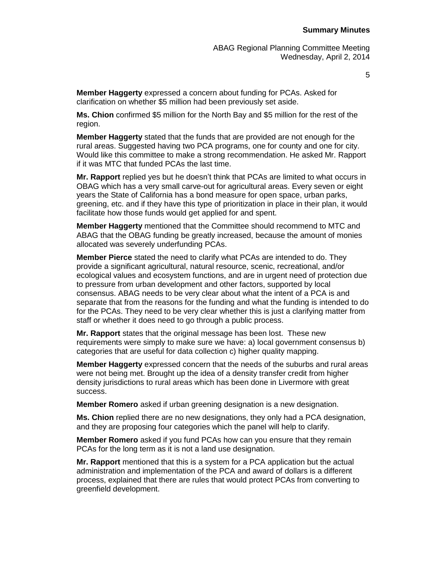5

**Member Haggerty** expressed a concern about funding for PCAs. Asked for clarification on whether \$5 million had been previously set aside.

**Ms. Chion** confirmed \$5 million for the North Bay and \$5 million for the rest of the region.

**Member Haggerty** stated that the funds that are provided are not enough for the rural areas. Suggested having two PCA programs, one for county and one for city. Would like this committee to make a strong recommendation. He asked Mr. Rapport if it was MTC that funded PCAs the last time.

**Mr. Rapport** replied yes but he doesn't think that PCAs are limited to what occurs in OBAG which has a very small carve-out for agricultural areas. Every seven or eight years the State of California has a bond measure for open space, urban parks, greening, etc. and if they have this type of prioritization in place in their plan, it would facilitate how those funds would get applied for and spent.

**Member Haggerty** mentioned that the Committee should recommend to MTC and ABAG that the OBAG funding be greatly increased, because the amount of monies allocated was severely underfunding PCAs.

**Member Pierce** stated the need to clarify what PCAs are intended to do. They provide a significant agricultural, natural resource, scenic, recreational, and/or ecological values and ecosystem functions, and are in urgent need of protection due to pressure from urban development and other factors, supported by local consensus. ABAG needs to be very clear about what the intent of a PCA is and separate that from the reasons for the funding and what the funding is intended to do for the PCAs. They need to be very clear whether this is just a clarifying matter from staff or whether it does need to go through a public process.

**Mr. Rapport** states that the original message has been lost. These new requirements were simply to make sure we have: a) local government consensus b) categories that are useful for data collection c) higher quality mapping.

**Member Haggerty** expressed concern that the needs of the suburbs and rural areas were not being met. Brought up the idea of a density transfer credit from higher density jurisdictions to rural areas which has been done in Livermore with great success.

**Member Romero** asked if urban greening designation is a new designation.

**Ms. Chion** replied there are no new designations, they only had a PCA designation, and they are proposing four categories which the panel will help to clarify.

**Member Romero** asked if you fund PCAs how can you ensure that they remain PCAs for the long term as it is not a land use designation.

**Mr. Rapport** mentioned that this is a system for a PCA application but the actual administration and implementation of the PCA and award of dollars is a different process, explained that there are rules that would protect PCAs from converting to greenfield development.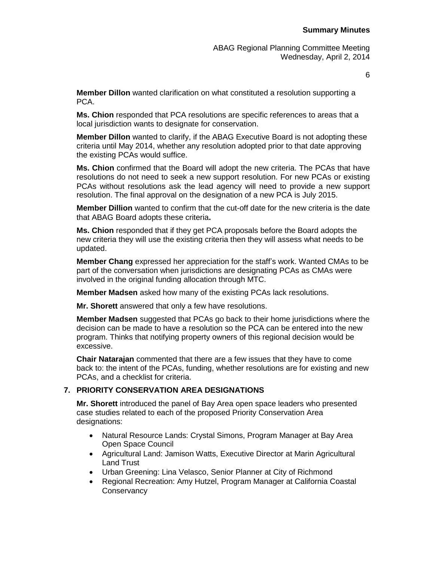6

**Member Dillon** wanted clarification on what constituted a resolution supporting a PCA.

**Ms. Chion** responded that PCA resolutions are specific references to areas that a local jurisdiction wants to designate for conservation.

**Member Dillon** wanted to clarify, if the ABAG Executive Board is not adopting these criteria until May 2014, whether any resolution adopted prior to that date approving the existing PCAs would suffice.

**Ms. Chion** confirmed that the Board will adopt the new criteria. The PCAs that have resolutions do not need to seek a new support resolution. For new PCAs or existing PCAs without resolutions ask the lead agency will need to provide a new support resolution. The final approval on the designation of a new PCA is July 2015.

**Member Dillion** wanted to confirm that the cut-off date for the new criteria is the date that ABAG Board adopts these criteria**.**

**Ms. Chion** responded that if they get PCA proposals before the Board adopts the new criteria they will use the existing criteria then they will assess what needs to be updated.

**Member Chang** expressed her appreciation for the staff's work. Wanted CMAs to be part of the conversation when jurisdictions are designating PCAs as CMAs were involved in the original funding allocation through MTC.

**Member Madsen** asked how many of the existing PCAs lack resolutions.

**Mr. Shorett** answered that only a few have resolutions.

**Member Madsen** suggested that PCAs go back to their home jurisdictions where the decision can be made to have a resolution so the PCA can be entered into the new program. Thinks that notifying property owners of this regional decision would be excessive.

**Chair Natarajan** commented that there are a few issues that they have to come back to: the intent of the PCAs, funding, whether resolutions are for existing and new PCAs, and a checklist for criteria.

#### **7. PRIORITY CONSERVATION AREA DESIGNATIONS**

**Mr. Shorett** introduced the panel of Bay Area open space leaders who presented case studies related to each of the proposed Priority Conservation Area designations:

- Natural Resource Lands: Crystal Simons, Program Manager at Bay Area Open Space Council
- Agricultural Land: Jamison Watts, Executive Director at Marin Agricultural Land Trust
- Urban Greening: Lina Velasco, Senior Planner at City of Richmond
- Regional Recreation: Amy Hutzel, Program Manager at California Coastal **Conservancy**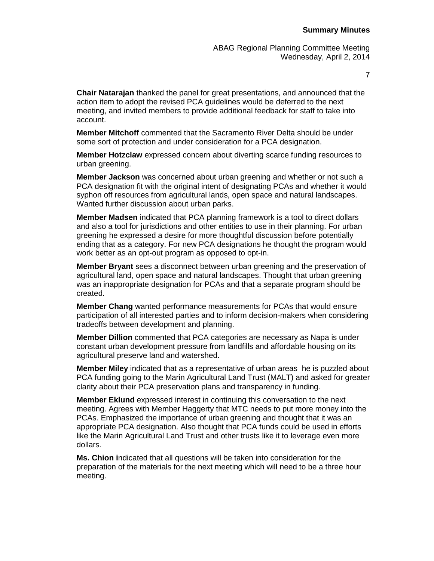7

**Chair Natarajan** thanked the panel for great presentations, and announced that the action item to adopt the revised PCA guidelines would be deferred to the next meeting, and invited members to provide additional feedback for staff to take into account.

**Member Mitchoff** commented that the Sacramento River Delta should be under some sort of protection and under consideration for a PCA designation.

**Member Hotzclaw** expressed concern about diverting scarce funding resources to urban greening.

**Member Jackson** was concerned about urban greening and whether or not such a PCA designation fit with the original intent of designating PCAs and whether it would syphon off resources from agricultural lands, open space and natural landscapes. Wanted further discussion about urban parks.

**Member Madsen** indicated that PCA planning framework is a tool to direct dollars and also a tool for jurisdictions and other entities to use in their planning. For urban greening he expressed a desire for more thoughtful discussion before potentially ending that as a category. For new PCA designations he thought the program would work better as an opt-out program as opposed to opt-in.

**Member Bryant** sees a disconnect between urban greening and the preservation of agricultural land, open space and natural landscapes. Thought that urban greening was an inappropriate designation for PCAs and that a separate program should be created.

**Member Chang** wanted performance measurements for PCAs that would ensure participation of all interested parties and to inform decision-makers when considering tradeoffs between development and planning.

**Member Dillion** commented that PCA categories are necessary as Napa is under constant urban development pressure from landfills and affordable housing on its agricultural preserve land and watershed.

**Member Miley** indicated that as a representative of urban areas he is puzzled about PCA funding going to the Marin Agricultural Land Trust (MALT) and asked for greater clarity about their PCA preservation plans and transparency in funding.

**Member Eklund** expressed interest in continuing this conversation to the next meeting. Agrees with Member Haggerty that MTC needs to put more money into the PCAs. Emphasized the importance of urban greening and thought that it was an appropriate PCA designation. Also thought that PCA funds could be used in efforts like the Marin Agricultural Land Trust and other trusts like it to leverage even more dollars.

**Ms. Chion i**ndicated that all questions will be taken into consideration for the preparation of the materials for the next meeting which will need to be a three hour meeting.